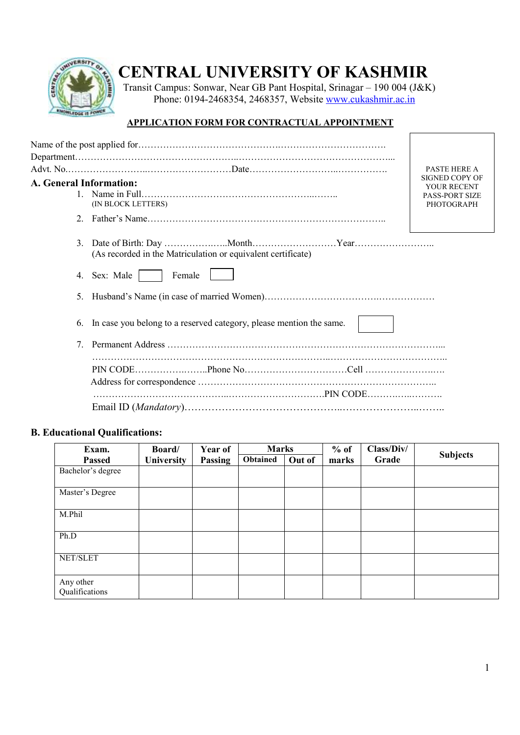

## **CENTRAL UNIVERSITY OF KASHMIR**

**Transit Campus: Sonwar, Near GB Pant Hospital, Srinagar – 190 004 (J&K)** Phone: 0194-2468354, 2468357, Website www.cukashmir.ac.in

## **APPLICATION FORM FOR CONTRACTUAL APPOINTMENT**

|                                                                           | <b>PASTE HERE A</b>                                                                |
|---------------------------------------------------------------------------|------------------------------------------------------------------------------------|
| A. General Information:<br>(IN BLOCK LETTERS)                             | <b>SIGNED COPY OF</b><br>YOUR RECENT<br><b>PASS-PORT SIZE</b><br><b>PHOTOGRAPH</b> |
| $2^{\circ}$                                                               |                                                                                    |
| 3.<br>(As recorded in the Matriculation or equivalent certificate)        |                                                                                    |
| 4. Sex: Male<br>Female                                                    |                                                                                    |
| 5.                                                                        |                                                                                    |
| In case you belong to a reserved category, please mention the same.<br>6. |                                                                                    |
| $7^{\circ}$                                                               |                                                                                    |
|                                                                           |                                                                                    |
|                                                                           |                                                                                    |
|                                                                           |                                                                                    |

## **B. Educational Qualifications:**

| Exam.                       | Board/            | Year of | <b>Marks</b> |        | $%$ of<br>Class/Div/ |       |                 |
|-----------------------------|-------------------|---------|--------------|--------|----------------------|-------|-----------------|
| <b>Passed</b>               | <b>University</b> | Passing | Obtained     | Out of | marks                | Grade | <b>Subjects</b> |
| Bachelor's degree           |                   |         |              |        |                      |       |                 |
|                             |                   |         |              |        |                      |       |                 |
| Master's Degree             |                   |         |              |        |                      |       |                 |
| M.Phil                      |                   |         |              |        |                      |       |                 |
| Ph.D                        |                   |         |              |        |                      |       |                 |
| NET/SLET                    |                   |         |              |        |                      |       |                 |
| Any other<br>Qualifications |                   |         |              |        |                      |       |                 |